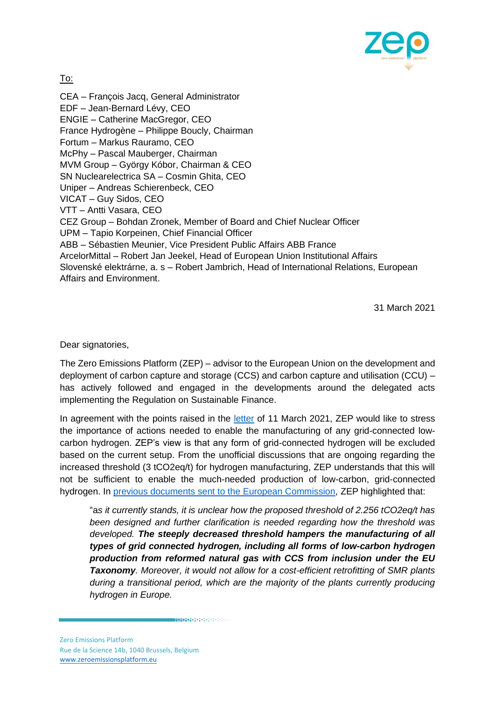

To:

CEA – François Jacq, General Administrator EDF – Jean-Bernard Lévy, CEO ENGIE – Catherine MacGregor, CEO France Hydrogène – Philippe Boucly, Chairman Fortum – Markus Rauramo, CEO McPhy – Pascal Mauberger, Chairman MVM Group – György Kóbor, Chairman & CEO SN Nuclearelectrica SA – Cosmin Ghita, CEO Uniper – Andreas Schierenbeck, CEO VICAT – Guy Sidos, CEO VTT – Antti Vasara, CEO CEZ Group – Bohdan Zronek, Member of Board and Chief Nuclear Officer UPM – Tapio Korpeinen, Chief Financial Officer ABB – Sébastien Meunier, Vice President Public Affairs ABB France ArcelorMittal – Robert Jan Jeekel, Head of European Union Institutional Affairs Slovenské elektrárne, a. s – Robert Jambrich, Head of International Relations, European Affairs and Environment.

31 March 2021

Dear signatories.

The Zero Emissions Platform (ZEP) – advisor to the European Union on the development and deployment of carbon capture and storage (CCS) and carbon capture and utilisation (CCU) – has actively followed and engaged in the developments around the delegated acts implementing the Regulation on Sustainable Finance.

In agreement with the points raised in the [letter](https://www.euractiv.com/wp-content/uploads/sites/2/2021/03/20210311-Joint-Letter-to-the-European-Commission-on-taxonomy-and-hydrogen-production.pdf) of 11 March 2021, ZEP would like to stress the importance of actions needed to enable the manufacturing of any grid-connected lowcarbon hydrogen. ZEP's view is that any form of grid-connected hydrogen will be excluded based on the current setup. From the unofficial discussions that are ongoing regarding the increased threshold (3 tCO2eq/t) for hydrogen manufacturing, ZEP understands that this will not be sufficient to enable the much-needed production of low-carbon, grid-connected hydrogen. In [previous documents sent to the European Commission,](https://zeroemissionsplatform.eu/zep-response-to-consultation-on-eu-taxonomy-delegated-acts/) ZEP highlighted that:

"a*s it currently stands, it is unclear how the proposed threshold of 2.256 tCO2eq/t has been designed and further clarification is needed regarding how the threshold was developed. The steeply decreased threshold hampers the manufacturing of all types of grid connected hydrogen, including all forms of low-carbon hydrogen production from reformed natural gas with CCS from inclusion under the EU Taxonomy. Moreover, it would not allow for a cost-efficient retrofitting of SMR plants during a transitional period, which are the majority of the plants currently producing hydrogen in Europe.* 

**MAGAGAGAGASASASASASASASAS**